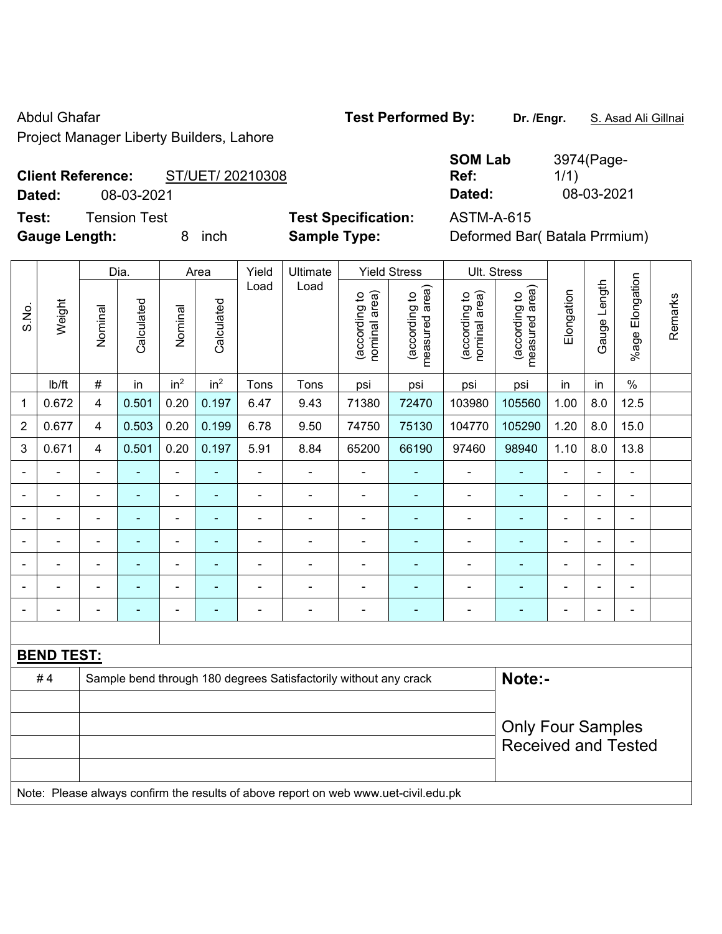Abdul Ghafar **Test Performed By:** Dr. /Engr. **S. Asad Ali Gillnai** Abdul Ghafar

Project Manager Liberty Builders, Lahore

### **Client Reference:** ST/UET/ 20210308

**Test:** Tension Test **Test Specification:** ASTM-A-615

**SOM Lab Ref:**  3974(Page-1/1) **Dated:** 08-03-2021 **Dated:** 08-03-2021

**Gauge Length:** 8 inch **Sample Type:** Deformed Bar( Batala Prrmium)

|                          |                   | Dia.<br>Yield<br>Ultimate<br><b>Yield Stress</b><br>Ult. Stress<br>Area |                |                          |                 |                |                                                                                     |                                |                                 |                                |                                 |                |                          |                          |         |
|--------------------------|-------------------|-------------------------------------------------------------------------|----------------|--------------------------|-----------------|----------------|-------------------------------------------------------------------------------------|--------------------------------|---------------------------------|--------------------------------|---------------------------------|----------------|--------------------------|--------------------------|---------|
| S.No.                    | Weight            | Nominal                                                                 | Calculated     | Nominal                  | Calculated      | Load           | Load                                                                                | nominal area)<br>(according to | (according to<br>measured area) | nominal area)<br>(according to | (according to<br>measured area) | Elongation     | Gauge Length             | Elongation<br>$%$ age    | Remarks |
|                          | Ib/ft             | $\#$                                                                    | in             | in <sup>2</sup>          | in <sup>2</sup> | Tons           | Tons                                                                                | psi                            | psi                             | psi                            | psi                             | in             | in                       | $\%$                     |         |
| 1                        | 0.672             | $\overline{\mathbf{4}}$                                                 | 0.501          | 0.20                     | 0.197           | 6.47           | 9.43                                                                                | 71380                          | 72470                           | 103980                         | 105560                          | 1.00           | 8.0                      | 12.5                     |         |
| 2                        | 0.677             | $\overline{4}$                                                          | 0.503          | 0.20                     | 0.199           | 6.78           | 9.50                                                                                | 74750                          | 75130                           | 104770                         | 105290                          | 1.20           | 8.0                      | 15.0                     |         |
| 3                        | 0.671             | $\overline{4}$                                                          | 0.501          | 0.20                     | 0.197           | 5.91           | 8.84                                                                                | 65200                          | 66190                           | 97460                          | 98940                           | 1.10           | 8.0                      | 13.8                     |         |
| $\blacksquare$           |                   | $\blacksquare$                                                          | L,             | $\blacksquare$           | ÷               | $\blacksquare$ | $\blacksquare$                                                                      | $\blacksquare$                 | ٠                               | $\blacksquare$                 | ÷,                              | $\blacksquare$ | ä,                       | $\blacksquare$           |         |
| $\overline{\phantom{a}}$ | $\blacksquare$    | $\qquad \qquad \blacksquare$                                            | ٠              | $\overline{\phantom{a}}$ | $\blacksquare$  | $\overline{a}$ | $\blacksquare$                                                                      | $\blacksquare$                 | ٠                               | $\overline{\phantom{a}}$       | ۰                               | $\blacksquare$ | $\overline{\phantom{a}}$ | $\overline{\phantom{a}}$ |         |
|                          |                   | $\blacksquare$                                                          | L,             | $\blacksquare$           | ÷               | ÷,             | $\blacksquare$                                                                      | $\blacksquare$                 | $\blacksquare$                  | $\overline{\phantom{a}}$       | ÷,                              | $\blacksquare$ | $\overline{\phantom{a}}$ | $\blacksquare$           |         |
|                          | $\overline{a}$    | $\blacksquare$                                                          | $\blacksquare$ | $\blacksquare$           | ۰               | ÷              | $\blacksquare$                                                                      | $\blacksquare$                 | $\blacksquare$                  | $\blacksquare$                 | ä,                              | $\blacksquare$ | ä,                       | $\blacksquare$           |         |
|                          |                   | $\blacksquare$                                                          |                | ÷                        | $\overline{a}$  | ۰              |                                                                                     | ٠                              | $\overline{\phantom{a}}$        | $\blacksquare$                 | L                               |                | $\blacksquare$           | $\blacksquare$           |         |
|                          |                   |                                                                         |                | $\blacksquare$           |                 |                |                                                                                     | ä,                             |                                 | ä,                             | $\blacksquare$                  |                | ä,                       | $\blacksquare$           |         |
|                          |                   | $\blacksquare$                                                          | $\blacksquare$ | $\blacksquare$           | $\blacksquare$  | $\blacksquare$ | $\blacksquare$                                                                      | ٠                              | $\overline{\phantom{a}}$        | $\blacksquare$                 | ۰                               |                | $\blacksquare$           | $\blacksquare$           |         |
|                          |                   |                                                                         |                |                          |                 |                |                                                                                     |                                |                                 |                                |                                 |                |                          |                          |         |
|                          | <b>BEND TEST:</b> |                                                                         |                |                          |                 |                |                                                                                     |                                |                                 |                                |                                 |                |                          |                          |         |
|                          | #4                |                                                                         |                |                          |                 |                | Sample bend through 180 degrees Satisfactorily without any crack                    |                                |                                 |                                | Note:-                          |                |                          |                          |         |
|                          |                   |                                                                         |                |                          |                 |                |                                                                                     |                                |                                 |                                |                                 |                |                          |                          |         |
|                          |                   |                                                                         |                |                          |                 |                |                                                                                     |                                |                                 |                                | <b>Only Four Samples</b>        |                |                          |                          |         |
|                          |                   |                                                                         |                |                          |                 |                |                                                                                     |                                |                                 |                                | <b>Received and Tested</b>      |                |                          |                          |         |
|                          |                   |                                                                         |                |                          |                 |                |                                                                                     |                                |                                 |                                |                                 |                |                          |                          |         |
|                          |                   |                                                                         |                |                          |                 |                | Note: Please always confirm the results of above report on web www.uet-civil.edu.pk |                                |                                 |                                |                                 |                |                          |                          |         |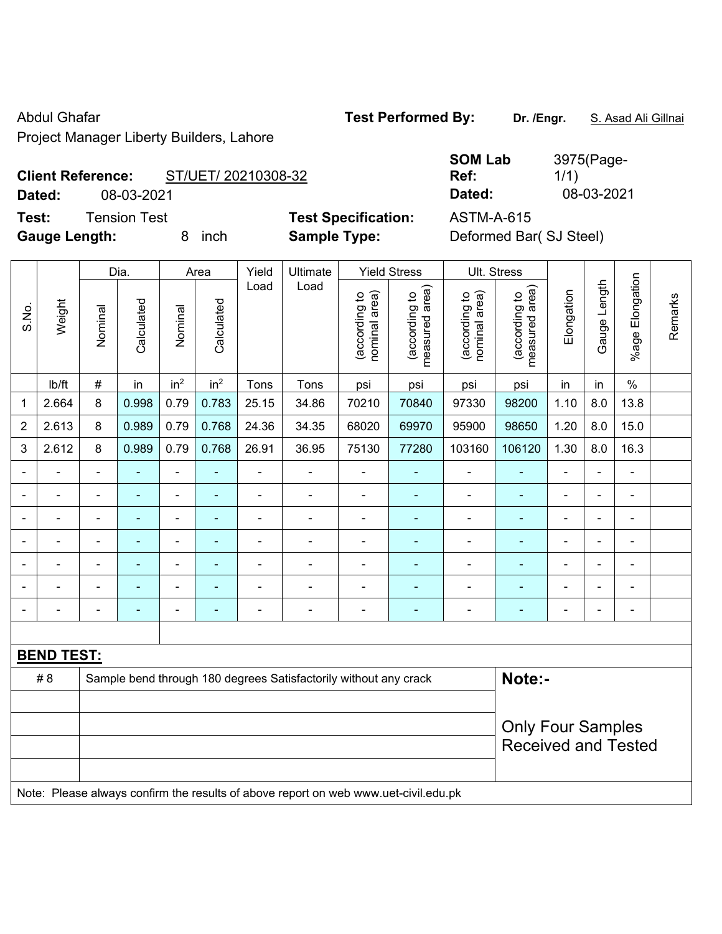Abdul Ghafar **Test Performed By:** Dr. /Engr. **S. Asad Ali Gillnai** Abdul Ghafar

Project Manager Liberty Builders, Lahore

# **Client Reference:** ST/UET/ 20210308-32

**Test:** Tension Test **Test Specification:** ASTM-A-615

**SOM Lab Ref:**  3975(Page-1/1) **Dated:** 08-03-2021 **Dated:** 08-03-2021

**Gauge Length:** 8 inch **Sample Type:** Deformed Bar( SJ Steel)

|                              |                   |                                                                            | Dia.       |                 | Area            | Yield          | Ultimate                                                                            |                                | <b>Yield Stress</b>             | Ult. Stress                    |                                 |                |                |                 |         |
|------------------------------|-------------------|----------------------------------------------------------------------------|------------|-----------------|-----------------|----------------|-------------------------------------------------------------------------------------|--------------------------------|---------------------------------|--------------------------------|---------------------------------|----------------|----------------|-----------------|---------|
| S.No.                        | Weight            | Nominal                                                                    | Calculated | Nominal         | Calculated      | Load           | Load                                                                                | (according to<br>nominal area) | (according to<br>measured area) | (according to<br>nominal area) | (according to<br>measured area) | Elongation     | Gauge Length   | %age Elongation | Remarks |
|                              | lb/ft             | $\#$                                                                       | in         | in <sup>2</sup> | in <sup>2</sup> | Tons           | Tons                                                                                | psi                            | psi                             | psi                            | psi                             | in             | in             | $\%$            |         |
| 1                            | 2.664             | 8                                                                          | 0.998      | 0.79            | 0.783           | 25.15          | 34.86                                                                               | 70210                          | 70840                           | 97330                          | 98200                           | 1.10           | 8.0            | 13.8            |         |
| $\overline{2}$               | 2.613             | 8                                                                          | 0.989      | 0.79            | 0.768           | 24.36          | 34.35                                                                               | 68020                          | 69970                           | 95900                          | 98650                           | 1.20           | 8.0            | 15.0            |         |
| 3                            | 2.612             | 8                                                                          | 0.989      | 0.79            | 0.768           | 26.91          | 36.95                                                                               | 75130                          | 77280                           | 103160                         | 106120                          | 1.30           | 8.0            | 16.3            |         |
| ÷,                           |                   | $\blacksquare$                                                             | ä,         | ÷,              |                 | $\blacksquare$ | ÷,                                                                                  | $\blacksquare$                 | ۰                               | $\blacksquare$                 | ÷,                              | $\frac{1}{2}$  | ÷,             | $\blacksquare$  |         |
| $\qquad \qquad \blacksquare$ | ÷,                | $\blacksquare$                                                             | ä,         | ÷,              | ÷,              | $\blacksquare$ | $\blacksquare$                                                                      | $\overline{\phantom{a}}$       | $\blacksquare$                  | $\blacksquare$                 | ٠                               | $\frac{1}{2}$  | ÷,             | $\blacksquare$  |         |
|                              | ÷,                | $\blacksquare$                                                             | ä,         | ÷,              | $\blacksquare$  | $\blacksquare$ | ÷,                                                                                  | ä,                             | ÷                               | $\blacksquare$                 | ٠                               | ÷              | ÷,             | $\blacksquare$  |         |
|                              |                   | ä,                                                                         | ä,         | ä,              |                 | ÷              | $\blacksquare$                                                                      | $\blacksquare$                 | ÷                               | ä,                             | ÷,                              | ÷              | L,             | L,              |         |
|                              |                   |                                                                            |            | ۰               |                 |                |                                                                                     |                                |                                 |                                |                                 |                |                | Ē,              |         |
|                              |                   |                                                                            |            | $\blacksquare$  |                 |                | $\blacksquare$                                                                      | $\blacksquare$                 | ۰                               | $\blacksquare$                 | ۰                               |                | $\blacksquare$ | $\blacksquare$  |         |
| $\blacksquare$               |                   | $\blacksquare$                                                             | ÷          | ä,              | ä,              | $\blacksquare$ | $\blacksquare$                                                                      | $\blacksquare$                 | ä,                              | ä,                             | ä,                              | $\overline{a}$ | ä,             | $\blacksquare$  |         |
|                              |                   |                                                                            |            |                 |                 |                |                                                                                     |                                |                                 |                                |                                 |                |                |                 |         |
|                              | <b>BEND TEST:</b> |                                                                            |            |                 |                 |                |                                                                                     |                                |                                 |                                |                                 |                |                |                 |         |
|                              | #8                | Note:-<br>Sample bend through 180 degrees Satisfactorily without any crack |            |                 |                 |                |                                                                                     |                                |                                 |                                |                                 |                |                |                 |         |
|                              |                   |                                                                            |            |                 |                 |                |                                                                                     |                                |                                 |                                |                                 |                |                |                 |         |
|                              |                   |                                                                            |            |                 |                 |                |                                                                                     |                                |                                 |                                | <b>Only Four Samples</b>        |                |                |                 |         |
|                              |                   |                                                                            |            |                 |                 |                |                                                                                     |                                |                                 |                                | <b>Received and Tested</b>      |                |                |                 |         |
|                              |                   |                                                                            |            |                 |                 |                |                                                                                     |                                |                                 |                                |                                 |                |                |                 |         |
|                              |                   |                                                                            |            |                 |                 |                | Note: Please always confirm the results of above report on web www.uet-civil.edu.pk |                                |                                 |                                |                                 |                |                |                 |         |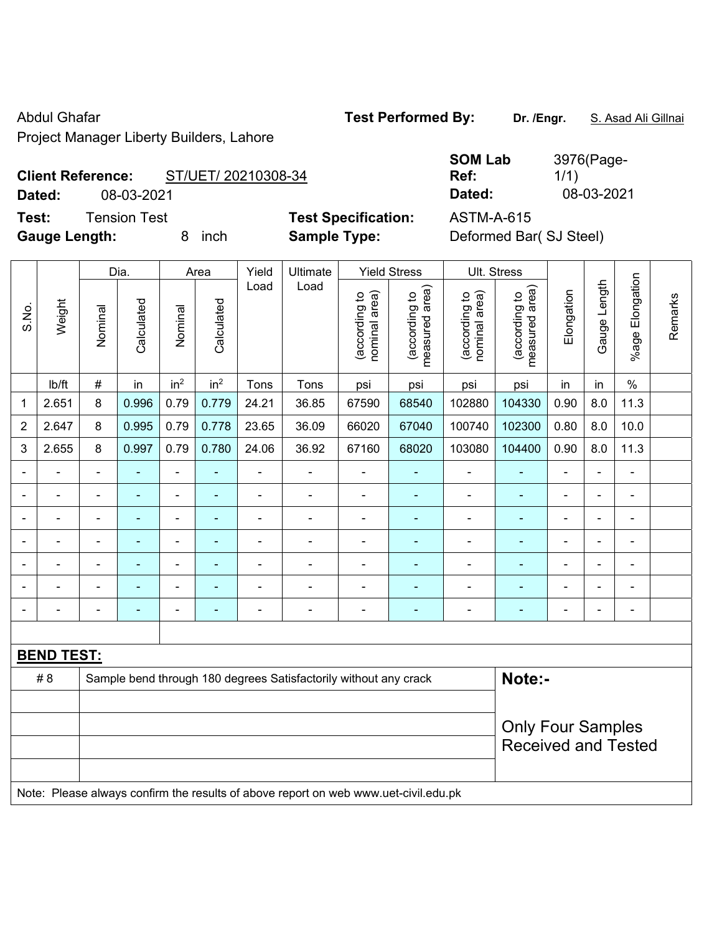Abdul Ghafar **Test Performed By:** Dr. /Engr. **S. Asad Ali Gillnai** Abdul Ghafar

Project Manager Liberty Builders, Lahore

## **Client Reference:** ST/UET/ 20210308-34

**Test:** Tension Test **Test Specification:** ASTM-A-615

**SOM Lab Ref:**  3976(Page-1/1) **Dated:** 08-03-2021 **Dated:** 08-03-2021

**Gauge Length:** 8 inch **Sample Type:** Deformed Bar( SJ Steel)

|                          |                   |                                                                            | Dia.           |                          | Area            | Yield          | Ultimate                                                                            |                                | <b>Yield Stress</b>             |                                | Ult. Stress                     |                |                |                          |         |
|--------------------------|-------------------|----------------------------------------------------------------------------|----------------|--------------------------|-----------------|----------------|-------------------------------------------------------------------------------------|--------------------------------|---------------------------------|--------------------------------|---------------------------------|----------------|----------------|--------------------------|---------|
| S.No.                    | Weight            | Nominal                                                                    | Calculated     | Nominal                  | Calculated      | Load           | Load                                                                                | (according to<br>nominal area) | (according to<br>measured area) | (according to<br>nominal area) | (according to<br>measured area) | Elongation     | Gauge Length   | Elongation<br>$%$ age I  | Remarks |
|                          | Ib/ft             | #                                                                          | in             | in <sup>2</sup>          | in <sup>2</sup> | Tons           | Tons                                                                                | psi                            | psi                             | psi                            | psi                             | in             | in             | $\%$                     |         |
| 1                        | 2.651             | 8                                                                          | 0.996          | 0.79                     | 0.779           | 24.21          | 36.85                                                                               | 67590                          | 68540                           | 102880                         | 104330                          | 0.90           | 8.0            | 11.3                     |         |
| $\overline{2}$           | 2.647             | 8                                                                          | 0.995          | 0.79                     | 0.778           | 23.65          | 36.09                                                                               | 66020                          | 67040                           | 100740                         | 102300                          | 0.80           | 8.0            | 10.0                     |         |
| 3                        | 2.655             | 8                                                                          | 0.997          | 0.79                     | 0.780           | 24.06          | 36.92                                                                               | 67160                          | 68020                           | 103080                         | 104400                          | 0.90           | 8.0            | 11.3                     |         |
| $\overline{\phantom{a}}$ |                   | $\blacksquare$                                                             | ÷              | ÷,                       | $\blacksquare$  | $\blacksquare$ | ÷,                                                                                  | $\blacksquare$                 | ۰                               | $\blacksquare$                 | ٠                               | $\blacksquare$ | ä,             | L,                       |         |
| $\blacksquare$           | -                 | $\blacksquare$                                                             | ÷              | ÷                        | ٠               | $\overline{a}$ | $\blacksquare$                                                                      | $\blacksquare$                 | $\blacksquare$                  | $\blacksquare$                 | ۰                               | $\blacksquare$ | $\blacksquare$ | $\blacksquare$           |         |
|                          | ä,                | $\blacksquare$                                                             | ä,             | ÷,                       | $\blacksquare$  | $\blacksquare$ | ÷,                                                                                  | $\blacksquare$                 | ÷                               | $\blacksquare$                 | ÷,                              | ä,             | ÷,             | $\overline{\phantom{a}}$ |         |
|                          |                   | $\blacksquare$                                                             | ä,             | $\overline{\phantom{0}}$ | $\blacksquare$  | $\blacksquare$ | $\blacksquare$                                                                      | $\blacksquare$                 | ÷                               | ä,                             | ä,                              | $\blacksquare$ | $\blacksquare$ | $\blacksquare$           |         |
|                          |                   |                                                                            |                | $\blacksquare$           |                 |                |                                                                                     |                                |                                 |                                |                                 |                |                | $\blacksquare$           |         |
|                          |                   |                                                                            |                | $\blacksquare$           |                 |                |                                                                                     | $\blacksquare$                 | $\overline{\phantom{a}}$        | $\blacksquare$                 | ۰                               |                |                | $\blacksquare$           |         |
| $\blacksquare$           |                   | $\blacksquare$                                                             | $\blacksquare$ | $\blacksquare$           |                 | $\blacksquare$ | $\blacksquare$                                                                      | $\blacksquare$                 | ÷                               | $\blacksquare$                 | ٠                               | $\blacksquare$ | ä,             | $\blacksquare$           |         |
|                          |                   |                                                                            |                |                          |                 |                |                                                                                     |                                |                                 |                                |                                 |                |                |                          |         |
|                          | <b>BEND TEST:</b> |                                                                            |                |                          |                 |                |                                                                                     |                                |                                 |                                |                                 |                |                |                          |         |
|                          | #8                | Note:-<br>Sample bend through 180 degrees Satisfactorily without any crack |                |                          |                 |                |                                                                                     |                                |                                 |                                |                                 |                |                |                          |         |
|                          |                   |                                                                            |                |                          |                 |                |                                                                                     |                                |                                 |                                |                                 |                |                |                          |         |
|                          |                   |                                                                            |                |                          |                 |                |                                                                                     |                                |                                 |                                | <b>Only Four Samples</b>        |                |                |                          |         |
|                          |                   |                                                                            |                |                          |                 |                |                                                                                     |                                |                                 |                                | <b>Received and Tested</b>      |                |                |                          |         |
|                          |                   |                                                                            |                |                          |                 |                |                                                                                     |                                |                                 |                                |                                 |                |                |                          |         |
|                          |                   |                                                                            |                |                          |                 |                | Note: Please always confirm the results of above report on web www.uet-civil.edu.pk |                                |                                 |                                |                                 |                |                |                          |         |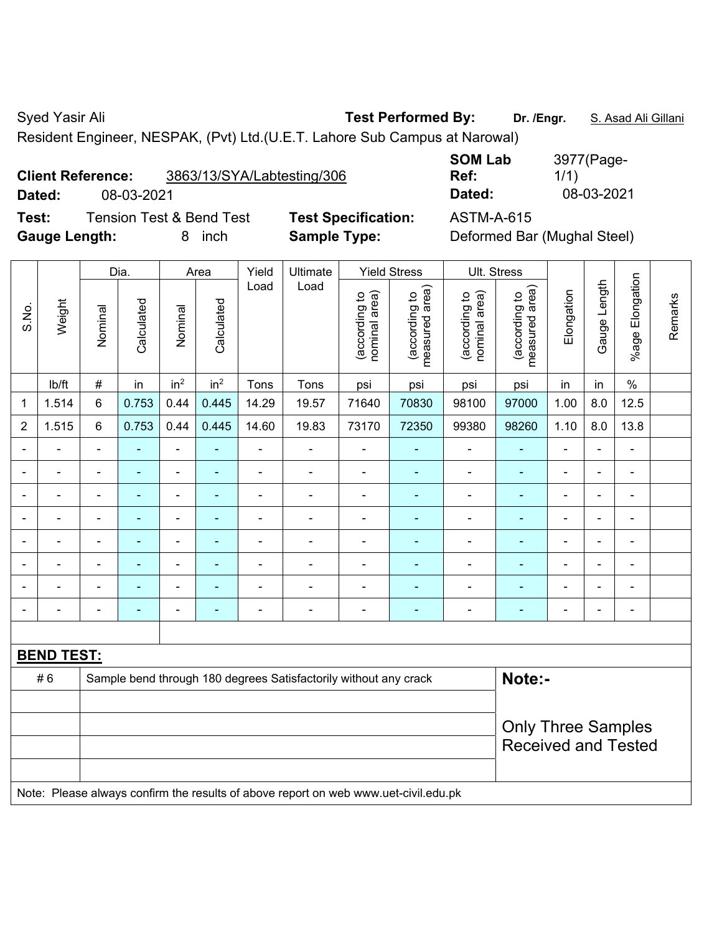Syed Yasir Ali **Test Performed By:** Dr. /Engr. **S. Asad Ali Gillani** Syed Yasir Ali Cillani

Resident Engineer, NESPAK, (Pvt) Ltd.(U.E.T. Lahore Sub Campus at Narowal)

| <b>Client Reference:</b> | 3863/13/SYA/Labtesting/306 |
|--------------------------|----------------------------|
|                          |                            |

**Test:** Tension Test & Bend Test **Test Specification:** ASTM-A-615 **Gauge Length:** 8 inch **Sample Type:** Deformed Bar (Mughal Steel)

**SOM Lab**  3977(Page-1/1) **Dated:** 08-03-2021 **Dated:** 08-03-2021

|                |                   |                                                                            | Dia.           |                              | Area                     | Yield          | Ultimate                                                                            |                                | <b>Yield Stress</b>             |                                | Ult. Stress                     |                          |                          |                          |         |
|----------------|-------------------|----------------------------------------------------------------------------|----------------|------------------------------|--------------------------|----------------|-------------------------------------------------------------------------------------|--------------------------------|---------------------------------|--------------------------------|---------------------------------|--------------------------|--------------------------|--------------------------|---------|
| S.No.          | Weight            | Nominal                                                                    | Calculated     | Nominal                      | Calculated               | Load           | Load                                                                                | nominal area)<br>(according to | (according to<br>measured area) | nominal area)<br>(according to | (according to<br>measured area) | Elongation               | Gauge Length             | %age Elongation          | Remarks |
|                | Ib/ft             | $\#$                                                                       | in             | in <sup>2</sup>              | in <sup>2</sup>          | Tons           | Tons                                                                                | psi                            | psi                             | psi                            | psi                             | in                       | in                       | $\%$                     |         |
| 1              | 1.514             | 6                                                                          | 0.753          | 0.44                         | 0.445                    | 14.29          | 19.57                                                                               | 71640                          | 70830                           | 98100                          | 97000                           | 1.00                     | 8.0                      | 12.5                     |         |
| $\overline{2}$ | 1.515             | 6                                                                          | 0.753          | 0.44                         | 0.445                    | 14.60          | 19.83                                                                               | 73170                          | 72350                           | 99380                          | 98260                           | 1.10                     | 8.0                      | 13.8                     |         |
|                |                   | $\blacksquare$                                                             | ÷,             | $\blacksquare$               | ٠                        | $\blacksquare$ | $\blacksquare$                                                                      | $\blacksquare$                 | $\blacksquare$                  | $\overline{\phantom{0}}$       | $\blacksquare$                  | $\blacksquare$           | $\blacksquare$           | $\blacksquare$           |         |
|                | $\blacksquare$    | $\blacksquare$                                                             | ÷,             | $\qquad \qquad \blacksquare$ | $\overline{a}$           | $\blacksquare$ | ÷                                                                                   | $\blacksquare$                 | $\blacksquare$                  | $\overline{\phantom{a}}$       | $\frac{1}{2}$                   | $\blacksquare$           | $\blacksquare$           | $\blacksquare$           |         |
|                | ä,                | $\blacksquare$                                                             | ÷,             | ÷,                           | $\blacksquare$           | $\blacksquare$ | $\blacksquare$                                                                      | $\blacksquare$                 | $\blacksquare$                  | $\qquad \qquad \blacksquare$   | $\blacksquare$                  | ä,                       | $\blacksquare$           | $\blacksquare$           |         |
|                |                   | $\blacksquare$                                                             | L,             | ä,                           |                          |                | ä,                                                                                  | $\blacksquare$                 | ä,                              | $\blacksquare$                 | ä,                              |                          | L,                       | $\blacksquare$           |         |
|                |                   |                                                                            |                | ÷                            |                          |                | $\blacksquare$                                                                      | $\blacksquare$                 | ÷                               | ۰                              | ä,                              |                          | ä,                       | $\blacksquare$           |         |
|                |                   | $\blacksquare$                                                             | ٠              | $\overline{\phantom{a}}$     | $\overline{\phantom{a}}$ | $\blacksquare$ | $\overline{\phantom{a}}$                                                            | $\blacksquare$                 | $\blacksquare$                  | $\qquad \qquad \blacksquare$   | $\blacksquare$                  | $\overline{\phantom{0}}$ | $\overline{\phantom{a}}$ | $\overline{\phantom{0}}$ |         |
|                |                   | $\blacksquare$                                                             | ä,             | ÷                            | $\blacksquare$           |                | ä,                                                                                  | $\blacksquare$                 | $\blacksquare$                  | $\qquad \qquad \blacksquare$   | ä,                              | $\blacksquare$           | ä,                       | ÷,                       |         |
|                |                   | $\blacksquare$                                                             | $\blacksquare$ | $\qquad \qquad \blacksquare$ | ٠                        | L,             | $\blacksquare$                                                                      | $\blacksquare$                 | ÷                               | $\qquad \qquad \blacksquare$   | $\frac{1}{2}$                   | $\blacksquare$           | ÷,                       | $\blacksquare$           |         |
|                |                   |                                                                            |                |                              |                          |                |                                                                                     |                                |                                 |                                |                                 |                          |                          |                          |         |
|                | <b>BEND TEST:</b> |                                                                            |                |                              |                          |                |                                                                                     |                                |                                 |                                |                                 |                          |                          |                          |         |
|                | #6                | Note:-<br>Sample bend through 180 degrees Satisfactorily without any crack |                |                              |                          |                |                                                                                     |                                |                                 |                                |                                 |                          |                          |                          |         |
|                |                   |                                                                            |                |                              |                          |                |                                                                                     |                                |                                 |                                |                                 |                          |                          |                          |         |
|                |                   |                                                                            |                |                              |                          |                |                                                                                     |                                |                                 |                                | <b>Only Three Samples</b>       |                          |                          |                          |         |
|                |                   |                                                                            |                |                              |                          |                |                                                                                     |                                |                                 |                                | <b>Received and Tested</b>      |                          |                          |                          |         |
|                |                   |                                                                            |                |                              |                          |                |                                                                                     |                                |                                 |                                |                                 |                          |                          |                          |         |
|                |                   |                                                                            |                |                              |                          |                | Note: Please always confirm the results of above report on web www.uet-civil.edu.pk |                                |                                 |                                |                                 |                          |                          |                          |         |

**Ref:**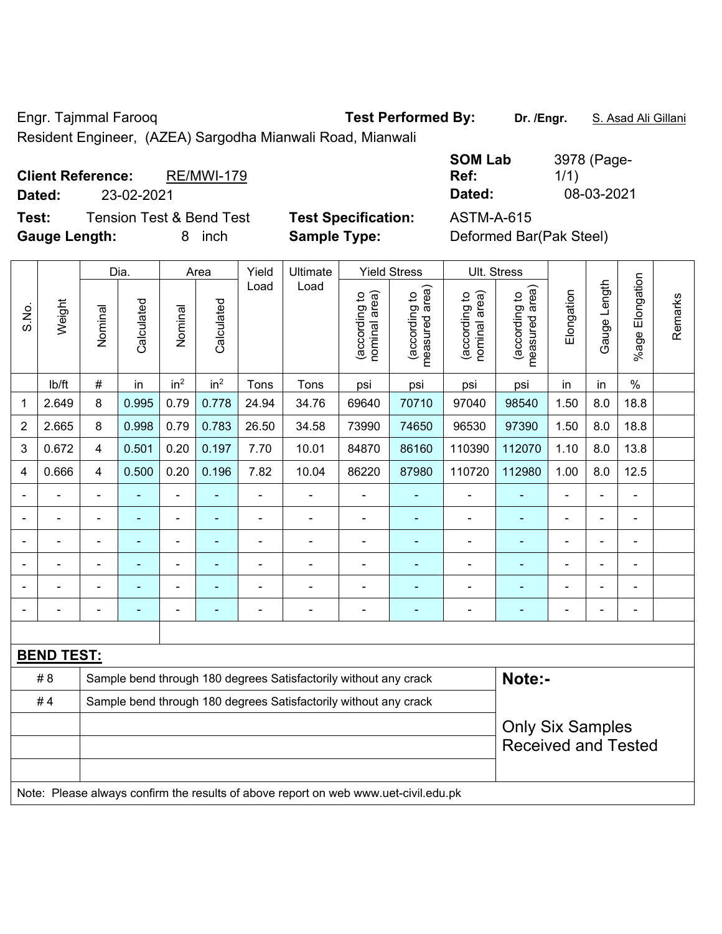Engr. Tajmmal Farooq **Test Performed By:** Dr. /Engr. **S. Asad Ali Gillani** 

Resident Engineer, (AZEA) Sargodha Mianwali Road, Mianwali

| <b>Client Reference:</b> |            | <b>RE/MWI-179</b>        |                            | <b>SOM Lab</b><br>Ref:  | 3978 (Page-<br>1/1) |
|--------------------------|------------|--------------------------|----------------------------|-------------------------|---------------------|
| Dated:                   | 23-02-2021 |                          |                            | Dated:                  | 08-03-2021          |
| Test:                    |            | Tension Test & Bend Test | <b>Test Specification:</b> | <b>ASTM-A-615</b>       |                     |
| <b>Gauge Length:</b>     |            | inch                     | <b>Sample Type:</b>        | Deformed Bar(Pak Steel) |                     |

|                |                   |                                                                  | Dia.           |                 | Area            | Yield          | Ultimate                                                                            |                                | <b>Yield Stress</b>             |                                | Ult. Stress                     |                |              |                       |         |
|----------------|-------------------|------------------------------------------------------------------|----------------|-----------------|-----------------|----------------|-------------------------------------------------------------------------------------|--------------------------------|---------------------------------|--------------------------------|---------------------------------|----------------|--------------|-----------------------|---------|
| S.No.          | Weight            | Nominal                                                          | Calculated     | Nominal         | Calculated      | Load           | Load                                                                                | nominal area)<br>(according to | (according to<br>measured area) | nominal area)<br>(according to | measured area)<br>(according to | Elongation     | Gauge Length | Elongation<br>$%$ age | Remarks |
|                | lb/ft             | #                                                                | in             | in <sup>2</sup> | in <sup>2</sup> | Tons           | Tons                                                                                | psi                            | psi                             | psi                            | psi                             | in             | in           | $\%$                  |         |
| $\mathbf 1$    | 2.649             | 8                                                                | 0.995          | 0.79            | 0.778           | 24.94          | 34.76                                                                               | 69640                          | 70710                           | 97040                          | 98540                           | 1.50           | 8.0          | 18.8                  |         |
| 2              | 2.665             | 8                                                                | 0.998          | 0.79            | 0.783           | 26.50          | 34.58                                                                               | 73990                          | 74650                           | 96530                          | 97390                           | 1.50           | 8.0          | 18.8                  |         |
| 3              | 0.672             | 4                                                                | 0.501          | 0.20            | 0.197           | 7.70           | 10.01                                                                               | 84870                          | 86160                           | 110390                         | 112070                          | 1.10           | 8.0          | 13.8                  |         |
| $\overline{4}$ | 0.666             | $\overline{4}$                                                   | 0.500          | 0.20            | 0.196           | 7.82           | 10.04                                                                               | 86220                          | 87980                           | 110720                         | 112980                          | 1.00           | 8.0          | 12.5                  |         |
| $\blacksquare$ |                   | $\blacksquare$                                                   |                | $\blacksquare$  |                 | $\blacksquare$ |                                                                                     |                                |                                 | ä,                             |                                 | $\blacksquare$ |              |                       |         |
|                |                   | $\blacksquare$                                                   | $\blacksquare$ | $\blacksquare$  | ۰               | $\blacksquare$ | $\blacksquare$                                                                      | $\blacksquare$                 | ۰                               | $\blacksquare$                 | ÷                               | ä,             |              | $\blacksquare$        |         |
|                |                   | $\blacksquare$                                                   |                | ۰               | ۰               | $\blacksquare$ |                                                                                     | $\blacksquare$                 |                                 | $\blacksquare$                 | ÷                               | ۰              |              | $\blacksquare$        |         |
|                |                   | $\qquad \qquad \blacksquare$                                     | $\blacksquare$ | ۰               | ۰               | $\blacksquare$ | $\overline{\phantom{a}}$                                                            | $\blacksquare$                 | $\blacksquare$                  | $\overline{\phantom{a}}$       | ۰                               | ÷              |              | $\blacksquare$        |         |
|                |                   | $\blacksquare$                                                   | $\blacksquare$ | ÷,              | ۰               | $\blacksquare$ | $\blacksquare$                                                                      | $\blacksquare$                 | $\sim$                          | -                              | ä,                              | ÷,             |              | $\blacksquare$        |         |
|                |                   | $\blacksquare$                                                   | $\blacksquare$ | $\blacksquare$  | ۰               | $\blacksquare$ | $\overline{a}$                                                                      | $\blacksquare$                 | $\blacksquare$                  | $\blacksquare$                 | $\qquad \qquad \blacksquare$    | $\blacksquare$ |              | $\blacksquare$        |         |
|                |                   |                                                                  |                |                 |                 |                |                                                                                     |                                |                                 |                                |                                 |                |              |                       |         |
|                | <b>BEND TEST:</b> |                                                                  |                |                 |                 |                |                                                                                     |                                |                                 |                                |                                 |                |              |                       |         |
|                | # 8               |                                                                  |                |                 |                 |                | Sample bend through 180 degrees Satisfactorily without any crack                    |                                |                                 |                                | Note:-                          |                |              |                       |         |
|                | #4                | Sample bend through 180 degrees Satisfactorily without any crack |                |                 |                 |                |                                                                                     |                                |                                 |                                |                                 |                |              |                       |         |
|                |                   | <b>Only Six Samples</b><br><b>Received and Tested</b>            |                |                 |                 |                |                                                                                     |                                |                                 |                                |                                 |                |              |                       |         |
|                |                   |                                                                  |                |                 |                 |                | Note: Please always confirm the results of above report on web www.uet-civil.edu.pk |                                |                                 |                                |                                 |                |              |                       |         |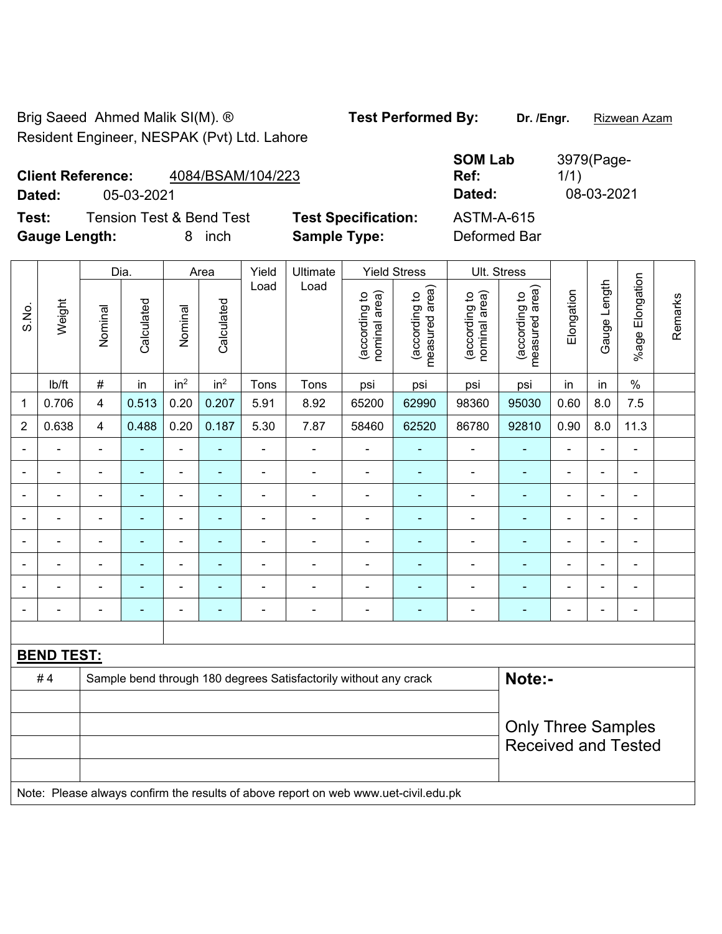Brig Saeed Ahmed Malik SI(M). ® **Test Performed By:** Dr. /Engr. **Rizwean Azam** Resident Engineer, NESPAK (Pvt) Ltd. Lahore

**Client Reference:** 4084/BSAM/104/223

**Test:** Tension Test & Bend Test **Test Specification:** ASTM-A-615 **Gauge Length:** 8 inch **Sample Type:** Deformed Bar

**SOM Lab Ref:**  3979(Page-1/1) **Dated:** 05-03-2021 **Dated:** 08-03-2021

|                |                   | Dia.<br>Yield<br>Ultimate<br>Area |                |                          |                 |                |                                                                                     |                                | <b>Yield Stress</b>             |                                | Ult. Stress                     |                |                |                              |         |
|----------------|-------------------|-----------------------------------|----------------|--------------------------|-----------------|----------------|-------------------------------------------------------------------------------------|--------------------------------|---------------------------------|--------------------------------|---------------------------------|----------------|----------------|------------------------------|---------|
| S.No.          | Weight            | Nominal                           | Calculated     | Nominal                  | Calculated      | Load           | Load                                                                                | nominal area)<br>(according to | (according to<br>measured area) | (according to<br>nominal area) | (according to<br>measured area) | Elongation     | Gauge Length   | Elongation<br>%age l         | Remarks |
|                | lb/ft             | $\#$                              | in             | in <sup>2</sup>          | in <sup>2</sup> | Tons           | Tons                                                                                | psi                            | psi                             | psi                            | psi                             | in             | in             | $\%$                         |         |
| 1              | 0.706             | $\overline{4}$                    | 0.513          | 0.20                     | 0.207           | 5.91           | 8.92                                                                                | 65200                          | 62990                           | 98360                          | 95030                           | 0.60           | 8.0            | 7.5                          |         |
| $\overline{2}$ | 0.638             | $\overline{4}$                    | 0.488          | 0.20                     | 0.187           | 5.30           | 7.87                                                                                | 58460                          | 62520                           | 86780                          | 92810                           | 0.90           | 8.0            | 11.3                         |         |
|                |                   |                                   |                |                          |                 | $\blacksquare$ | Ē,                                                                                  | $\blacksquare$                 |                                 |                                |                                 |                |                | ä,                           |         |
|                |                   |                                   |                | $\overline{\phantom{0}}$ |                 |                | Ē,                                                                                  | $\blacksquare$                 |                                 | $\overline{\phantom{a}}$       |                                 | ۰              |                | ÷                            |         |
| $\blacksquare$ |                   | $\blacksquare$                    | ٠              | $\blacksquare$           | $\blacksquare$  | Ē,             | $\blacksquare$                                                                      | $\blacksquare$                 | ٠                               | $\blacksquare$                 | $\blacksquare$                  | $\blacksquare$ | $\blacksquare$ | ÷.                           |         |
|                |                   | $\blacksquare$                    | $\blacksquare$ | $\blacksquare$           | $\blacksquare$  | $\blacksquare$ | $\blacksquare$                                                                      | $\blacksquare$                 | $\blacksquare$                  | $\overline{\phantom{a}}$       | ٠                               | $\blacksquare$ | $\blacksquare$ | $\qquad \qquad \blacksquare$ |         |
| $\blacksquare$ |                   | $\blacksquare$                    | $\blacksquare$ | $\blacksquare$           | $\mathbf{r}$    | ä,             | $\blacksquare$                                                                      | ä,                             | $\blacksquare$                  | $\blacksquare$                 | ÷,                              | $\overline{a}$ |                | $\overline{\phantom{a}}$     |         |
|                |                   |                                   |                |                          |                 | Ē,             | Ē,                                                                                  |                                |                                 |                                |                                 |                |                | $\blacksquare$               |         |
|                |                   |                                   |                |                          |                 |                |                                                                                     |                                |                                 |                                |                                 |                |                | $\blacksquare$               |         |
| $\blacksquare$ |                   |                                   | $\blacksquare$ | ÷                        |                 | Ē,             | ÷                                                                                   | $\blacksquare$                 | $\blacksquare$                  | $\overline{\phantom{a}}$       | $\blacksquare$                  | ÷              |                | $\overline{a}$               |         |
|                |                   |                                   |                |                          |                 |                |                                                                                     |                                |                                 |                                |                                 |                |                |                              |         |
|                | <b>BEND TEST:</b> |                                   |                |                          |                 |                |                                                                                     |                                |                                 |                                |                                 |                |                |                              |         |
|                | #4                |                                   |                |                          |                 |                | Sample bend through 180 degrees Satisfactorily without any crack                    |                                |                                 |                                | Note:-                          |                |                |                              |         |
|                |                   |                                   |                |                          |                 |                |                                                                                     |                                |                                 |                                |                                 |                |                |                              |         |
|                |                   |                                   |                |                          |                 |                |                                                                                     |                                |                                 |                                | <b>Only Three Samples</b>       |                |                |                              |         |
|                |                   |                                   |                |                          |                 |                |                                                                                     |                                |                                 |                                | <b>Received and Tested</b>      |                |                |                              |         |
|                |                   |                                   |                |                          |                 |                |                                                                                     |                                |                                 |                                |                                 |                |                |                              |         |
|                |                   |                                   |                |                          |                 |                | Note: Please always confirm the results of above report on web www.uet-civil.edu.pk |                                |                                 |                                |                                 |                |                |                              |         |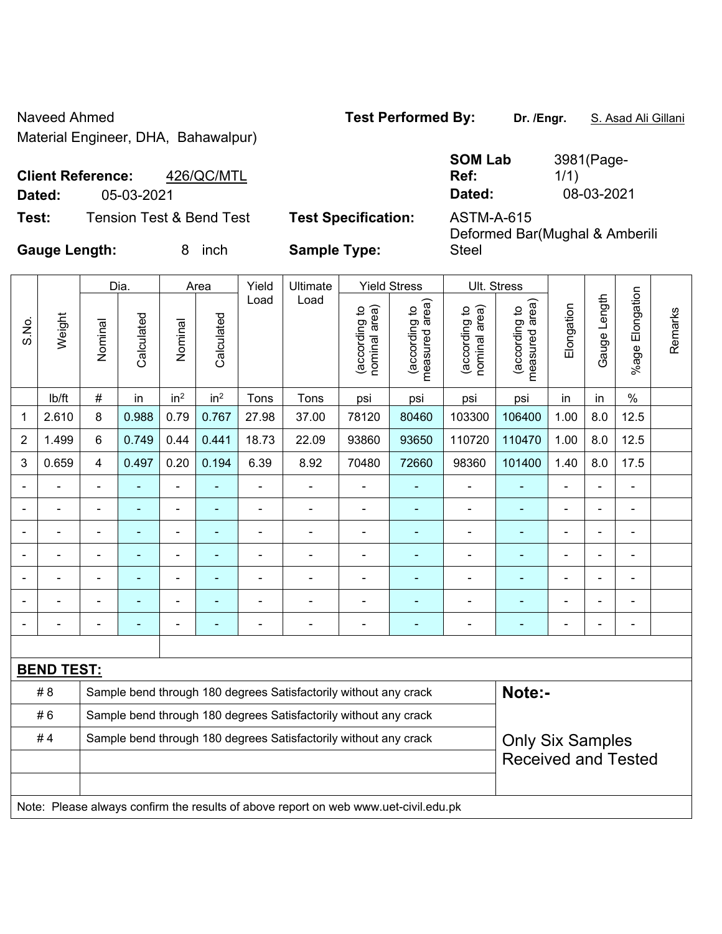Naveed Ahmed **Test Performed By:** Dr. /Engr. **S. Asad Ali Gillani** Ali Cillani Material Engineer, DHA, Bahawalpur)

**Client Reference:** 426/QC/MTL **Dated:** 05-03-2021 **Dated:** 08-03-2021

| <b>SOM Lab</b> | 3981(Page- |
|----------------|------------|
| Ref:           | 1/1)       |
| Dated:         | 08-03-2021 |

**Test:** Tension Test & Bend Test **Test Specification:** ASTM-A-615

Deformed Bar(Mughal & Amberili Steel

|                |                   |                                                                                             | Dia.<br>Yield<br>Ultimate<br><b>Yield Stress</b><br>Ult. Stress<br>Area |                 |                 |                |                                                                                     |                                |                                 |                                |                                 |                |                |                      |         |
|----------------|-------------------|---------------------------------------------------------------------------------------------|-------------------------------------------------------------------------|-----------------|-----------------|----------------|-------------------------------------------------------------------------------------|--------------------------------|---------------------------------|--------------------------------|---------------------------------|----------------|----------------|----------------------|---------|
| S.No.          | Weight            | Nominal                                                                                     | Calculated                                                              | Nominal         | Calculated      | Load           | Load                                                                                | nominal area)<br>(according to | (according to<br>measured area) | nominal area)<br>(according to | measured area)<br>(according to | Elongation     | Gauge Length   | Elongation<br>%age l | Remarks |
|                | lb/ft             | $\#$                                                                                        | in                                                                      | in <sup>2</sup> | in <sup>2</sup> | Tons           | Tons                                                                                | psi                            | psi                             | psi                            | psi                             | in             | in             | $\%$                 |         |
| 1              | 2.610             | 8                                                                                           | 0.988                                                                   | 0.79            | 0.767           | 27.98          | 37.00                                                                               | 78120                          | 80460                           | 103300                         | 106400                          | 1.00           | 8.0            | 12.5                 |         |
| 2              | 1.499             | 6                                                                                           | 0.749                                                                   | 0.44            | 0.441           | 18.73          | 22.09                                                                               | 93860                          | 93650                           | 110720                         | 110470                          | 1.00           | 8.0            | 12.5                 |         |
| 3              | 0.659             | 4                                                                                           | 0.497                                                                   | 0.20            | 0.194           | 6.39           | 8.92                                                                                | 70480                          | 72660                           | 98360                          | 101400                          | 1.40           | 8.0            | 17.5                 |         |
| $\blacksquare$ |                   | $\blacksquare$                                                                              |                                                                         | $\blacksquare$  | ÷               | $\blacksquare$ | $\blacksquare$                                                                      | $\overline{a}$                 | $\blacksquare$                  | $\blacksquare$                 | ÷                               | $\blacksquare$ | $\blacksquare$ | $\blacksquare$       |         |
| $\blacksquare$ | $\blacksquare$    | $\blacksquare$                                                                              | $\blacksquare$                                                          | ÷,              | $\blacksquare$  | $\blacksquare$ | $\overline{\phantom{a}}$                                                            | $\overline{\phantom{a}}$       | $\blacksquare$                  | $\blacksquare$                 | $\blacksquare$                  | $\overline{a}$ | ÷,             | $\blacksquare$       |         |
| $\blacksquare$ | $\blacksquare$    | $\blacksquare$                                                                              | $\blacksquare$                                                          | $\blacksquare$  | ÷               | $\blacksquare$ | $\blacksquare$                                                                      | $\overline{\phantom{a}}$       | $\blacksquare$                  | $\blacksquare$                 | $\blacksquare$                  | $\blacksquare$ | $\blacksquare$ | $\blacksquare$       |         |
| $\blacksquare$ |                   | $\overline{a}$                                                                              | $\blacksquare$                                                          | ÷,              | ä,              | $\blacksquare$ | ÷,                                                                                  | $\overline{a}$                 | $\blacksquare$                  | $\blacksquare$                 | ÷                               |                |                | $\blacksquare$       |         |
|                |                   | $\blacksquare$                                                                              |                                                                         | L.              |                 |                |                                                                                     |                                | $\blacksquare$                  | L.                             |                                 |                |                | ÷                    |         |
|                |                   |                                                                                             |                                                                         |                 |                 |                |                                                                                     |                                |                                 |                                |                                 |                |                |                      |         |
|                |                   | $\blacksquare$                                                                              |                                                                         |                 | ÷               |                | $\blacksquare$                                                                      | ٠                              | ٠                               |                                |                                 |                | ä,             | ٠                    |         |
|                |                   |                                                                                             |                                                                         |                 |                 |                |                                                                                     |                                |                                 |                                |                                 |                |                |                      |         |
|                | <b>BEND TEST:</b> |                                                                                             |                                                                         |                 |                 |                |                                                                                     |                                |                                 |                                |                                 |                |                |                      |         |
|                | # 8               |                                                                                             |                                                                         |                 |                 |                | Sample bend through 180 degrees Satisfactorily without any crack                    |                                |                                 |                                | Note:-                          |                |                |                      |         |
|                | #6                | Sample bend through 180 degrees Satisfactorily without any crack                            |                                                                         |                 |                 |                |                                                                                     |                                |                                 |                                |                                 |                |                |                      |         |
|                | #4                | Sample bend through 180 degrees Satisfactorily without any crack<br><b>Only Six Samples</b> |                                                                         |                 |                 |                |                                                                                     |                                |                                 |                                |                                 |                |                |                      |         |
|                |                   |                                                                                             |                                                                         |                 |                 |                |                                                                                     |                                |                                 |                                | <b>Received and Tested</b>      |                |                |                      |         |
|                |                   |                                                                                             |                                                                         |                 |                 |                |                                                                                     |                                |                                 |                                |                                 |                |                |                      |         |
|                |                   |                                                                                             |                                                                         |                 |                 |                | Note: Please always confirm the results of above report on web www.uet-civil.edu.pk |                                |                                 |                                |                                 |                |                |                      |         |

**Gauge Length:** 8 inch **Sample Type:**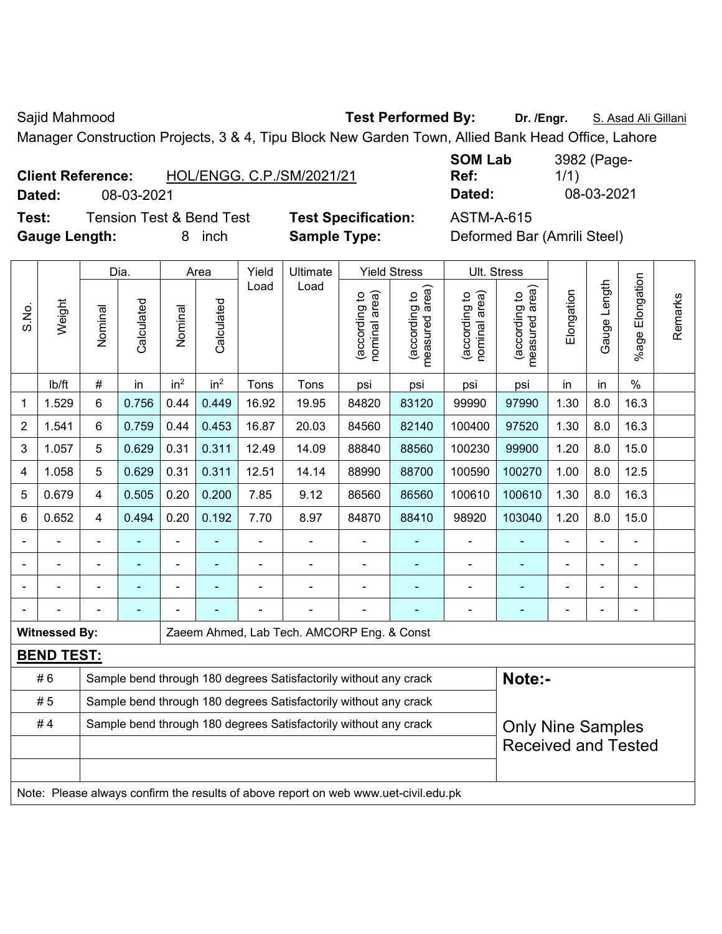Sajid Mahmood **Test Performed By:** Dr. /Engr. **S. Asad Ali Gillani** Associate Performed By: Dr. /Engr. **S. Asad Ali Gillani** 

Manager Construction Projects, 3 & 4, Tipu Block New Garden Town, Allied Bank Head Office, Lahore

| <b>Client Reference:</b> | HOL/ENGG, C.P./SM/2021/21 |
|--------------------------|---------------------------|
|--------------------------|---------------------------|

**Test:** Tension Test & Bend Test **Test Specification:** ASTM-A-615 **Gauge Length:** 8 inch **Sample Type:** Deformed Bar (Amrili Steel)

**SOM Lab Ref:**  3982 (Page-1/1) **Dated:** 08-03-2021 **Dated:** 08-03-2021

|                |                      |                | Dia.           |                 | Area            | Yield | <b>Ultimate</b>                                                                     |                                | <b>Yield Stress</b>             |                                | Ult. Stress                     |                |                |                          |         |  |
|----------------|----------------------|----------------|----------------|-----------------|-----------------|-------|-------------------------------------------------------------------------------------|--------------------------------|---------------------------------|--------------------------------|---------------------------------|----------------|----------------|--------------------------|---------|--|
| S.No.          | Weight               | Nominal        | Calculated     | Nominal         | Calculated      | Load  | Load                                                                                | nominal area)<br>(according to | (according to<br>measured area) | nominal area)<br>(according to | (according to<br>measured area) | Elongation     | Gauge Length   | %age Elongation          | Remarks |  |
|                | lb/ft                | $\#$           | in             | in <sup>2</sup> | in <sup>2</sup> | Tons  | Tons                                                                                | psi                            | psi                             | psi                            | psi                             | in             | in             | $\frac{0}{0}$            |         |  |
| 1              | 1.529                | 6              | 0.756          | 0.44            | 0.449           | 16.92 | 19.95                                                                               | 84820                          | 83120                           | 99990                          | 97990                           | 1.30           | 8.0            | 16.3                     |         |  |
| $\overline{2}$ | 1.541                | 6              | 0.759          | 0.44            | 0.453           | 16.87 | 20.03                                                                               | 84560                          | 82140                           | 100400                         | 97520                           | 1.30           | 8.0            | 16.3                     |         |  |
| 3              | 1.057                | 5              | 0.629          | 0.31            | 0.311           | 12.49 | 14.09                                                                               | 88840                          | 88560                           | 100230                         | 99900                           | 1.20           | 8.0            | 15.0                     |         |  |
| 4              | 1.058                | 5              | 0.629          | 0.31            | 0.311           | 12.51 | 14.14                                                                               | 88990                          | 88700                           | 100590                         | 100270                          | 1.00           | 8.0            | 12.5                     |         |  |
| 5              | 0.679                | $\overline{4}$ | 0.505          | 0.20            | 0.200           | 7.85  | 9.12                                                                                | 86560                          | 86560                           | 100610                         | 100610                          | 1.30           | 8.0            | 16.3                     |         |  |
| 6              | 0.652                | 4              | 0.494          | 0.20            | 0.192           | 7.70  | 8.97                                                                                | 84870                          | 88410                           | 98920                          | 15.0<br>103040<br>1.20<br>8.0   |                |                |                          |         |  |
|                |                      |                | L,             | ÷,              |                 | ä,    |                                                                                     | $\overline{a}$                 | ÷,                              | $\blacksquare$                 | ÷,                              | $\blacksquare$ | ä,             | L,                       |         |  |
|                |                      |                | ÷              | ÷,              |                 |       |                                                                                     |                                |                                 | $\blacksquare$                 | $\blacksquare$                  |                |                |                          |         |  |
|                |                      |                |                |                 |                 |       |                                                                                     |                                |                                 | $\blacksquare$                 | ۳                               |                |                |                          |         |  |
|                |                      |                | $\blacksquare$ |                 |                 |       |                                                                                     |                                |                                 | $\blacksquare$                 | ۳                               |                | $\blacksquare$ | $\overline{\phantom{0}}$ |         |  |
|                | <b>Witnessed By:</b> |                |                |                 |                 |       | Zaeem Ahmed, Lab Tech. AMCORP Eng. & Const                                          |                                |                                 |                                |                                 |                |                |                          |         |  |
|                | <b>BEND TEST:</b>    |                |                |                 |                 |       |                                                                                     |                                |                                 |                                |                                 |                |                |                          |         |  |
|                | #6                   |                |                |                 |                 |       | Sample bend through 180 degrees Satisfactorily without any crack                    |                                |                                 |                                | Note:-                          |                |                |                          |         |  |
|                | #5                   |                |                |                 |                 |       | Sample bend through 180 degrees Satisfactorily without any crack                    |                                |                                 |                                |                                 |                |                |                          |         |  |
|                | #4                   |                |                |                 |                 |       | Sample bend through 180 degrees Satisfactorily without any crack                    |                                |                                 |                                | <b>Only Nine Samples</b>        |                |                |                          |         |  |
|                |                      |                |                |                 |                 |       |                                                                                     |                                |                                 |                                | <b>Received and Tested</b>      |                |                |                          |         |  |
|                |                      |                |                |                 |                 |       |                                                                                     |                                |                                 |                                |                                 |                |                |                          |         |  |
|                |                      |                |                |                 |                 |       | Note: Please always confirm the results of above report on web www.uet-civil.edu.pk |                                |                                 |                                |                                 |                |                |                          |         |  |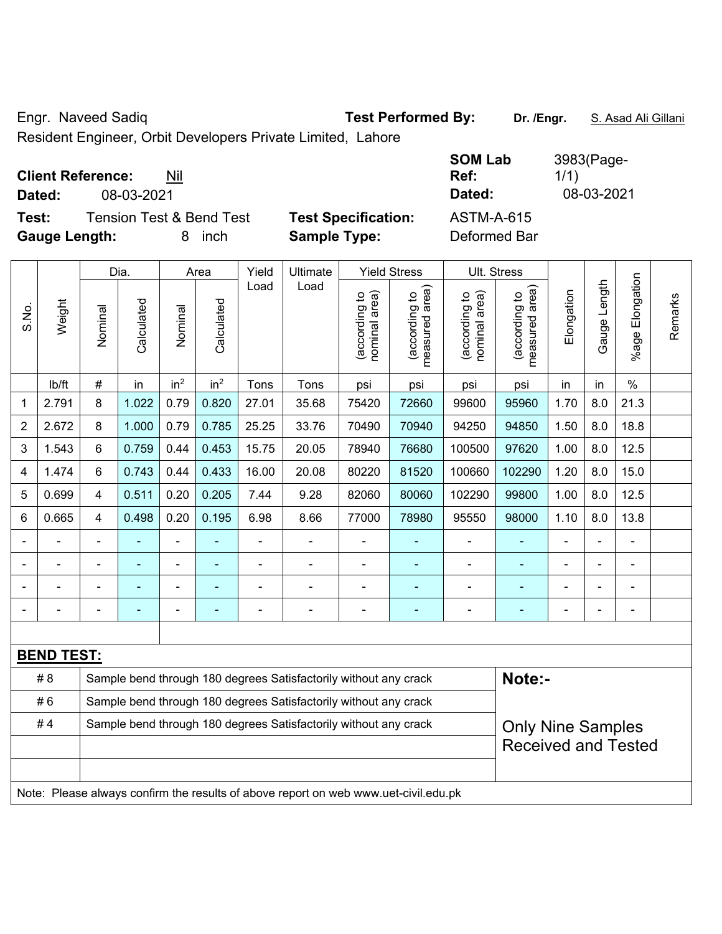Engr. Naveed Sadiq **Test Performed By:** Dr. /Engr. **S. Asad Ali Gillani** 

Resident Engineer, Orbit Developers Private Limited, Lahore

| <b>Client Reference:</b><br>Nil              | <b>SOM Lab</b><br>Ref:                          | 3983(Page-<br>1/1) |
|----------------------------------------------|-------------------------------------------------|--------------------|
| 08-03-2021<br>Dated:                         | Dated:                                          | 08-03-2021         |
| <b>Tension Test &amp; Bend Test</b><br>Test: | <b>Test Specification:</b><br><b>ASTM-A-615</b> |                    |
| <b>Gauge Length:</b><br>inch                 | <b>Sample Type:</b><br>Deformed Bar             |                    |

|                |                   |         | Dia.       | Area                                                                      |                 |       |                                                                                     |                                |                                             |                                |                                 |                |              |                       |         |
|----------------|-------------------|---------|------------|---------------------------------------------------------------------------|-----------------|-------|-------------------------------------------------------------------------------------|--------------------------------|---------------------------------------------|--------------------------------|---------------------------------|----------------|--------------|-----------------------|---------|
| S.No.          | Weight            | Nominal | Calculated | Nominal                                                                   | Calculated      | Load  | Load                                                                                | nominal area)<br>(according to | (according to<br>measured area)<br>measured | nominal area)<br>(according to | (according to<br>measured area) | Elongation     | Gauge Length | Elongation<br>$%$ age | Remarks |
|                | lb/ft             | $\#$    | in         | in <sup>2</sup>                                                           | in <sup>2</sup> | Tons  | Tons                                                                                | psi                            | psi                                         | psi                            | psi                             | in             | in           | $\%$                  |         |
| 1              | 2.791             | 8       | 1.022      | 0.79                                                                      | 0.820           | 27.01 | 35.68                                                                               | 75420                          | 72660                                       | 99600                          | 95960                           | 1.70           | 8.0          | 21.3                  |         |
| $\overline{2}$ | 2.672             | 8       | 1.000      | 0.79                                                                      | 0.785           | 25.25 | 33.76                                                                               | 70490                          | 70940                                       | 94250                          | 94850                           | 1.50           | 8.0          | 18.8                  |         |
| 3              | 1.543             | 6       | 0.759      | 0.44                                                                      | 0.453           | 15.75 | 20.05                                                                               | 78940                          | 76680                                       | 100500                         | 97620                           | 1.00           | 8.0          | 12.5                  |         |
| 4              | 1.474             | 6       | 0.743      | 0.44                                                                      | 0.433           | 16.00 | 20.08                                                                               | 80220                          | 81520                                       | 100660                         | 102290                          | 1.20           | 8.0          | 15.0                  |         |
| 5              | 0.699             | 4       | 0.511      | 0.20                                                                      | 0.205           | 7.44  | 9.28                                                                                | 82060                          | 80060                                       | 102290                         | 99800                           | 1.00           | 8.0          | 12.5                  |         |
| 6              | 0.665             | 4       | 0.498      | 0.20<br>0.195<br>6.98<br>8.66<br>77000<br>78980<br>95550<br>98000<br>1.10 |                 |       |                                                                                     |                                |                                             |                                |                                 |                | 8.0          | 13.8                  |         |
|                |                   |         |            |                                                                           |                 |       |                                                                                     |                                |                                             | ä,                             | $\blacksquare$                  |                |              |                       |         |
|                |                   |         |            |                                                                           |                 |       | $\blacksquare$                                                                      |                                |                                             |                                |                                 |                |              |                       |         |
|                |                   |         |            | ۰                                                                         |                 |       | $\overline{\phantom{0}}$                                                            | $\blacksquare$                 |                                             | -                              | ۰                               | $\blacksquare$ |              | $\blacksquare$        |         |
|                |                   |         | ۰          | ÷,                                                                        |                 |       | $\blacksquare$                                                                      | $\blacksquare$                 | $\blacksquare$                              | $\blacksquare$                 | $\blacksquare$                  | $\blacksquare$ |              | ä,                    |         |
|                |                   |         |            |                                                                           |                 |       |                                                                                     |                                |                                             |                                |                                 |                |              |                       |         |
|                | <b>BEND TEST:</b> |         |            |                                                                           |                 |       |                                                                                     |                                |                                             |                                |                                 |                |              |                       |         |
|                | # 8               |         |            |                                                                           |                 |       | Sample bend through 180 degrees Satisfactorily without any crack                    |                                |                                             |                                | Note:-                          |                |              |                       |         |
|                | #6                |         |            |                                                                           |                 |       | Sample bend through 180 degrees Satisfactorily without any crack                    |                                |                                             |                                |                                 |                |              |                       |         |
|                | #4                |         |            |                                                                           |                 |       | Sample bend through 180 degrees Satisfactorily without any crack                    |                                |                                             |                                | <b>Only Nine Samples</b>        |                |              |                       |         |
|                |                   |         |            |                                                                           |                 |       |                                                                                     |                                |                                             |                                | <b>Received and Tested</b>      |                |              |                       |         |
|                |                   |         |            |                                                                           |                 |       |                                                                                     |                                |                                             |                                |                                 |                |              |                       |         |
|                |                   |         |            |                                                                           |                 |       | Note: Please always confirm the results of above report on web www.uet-civil.edu.pk |                                |                                             |                                |                                 |                |              |                       |         |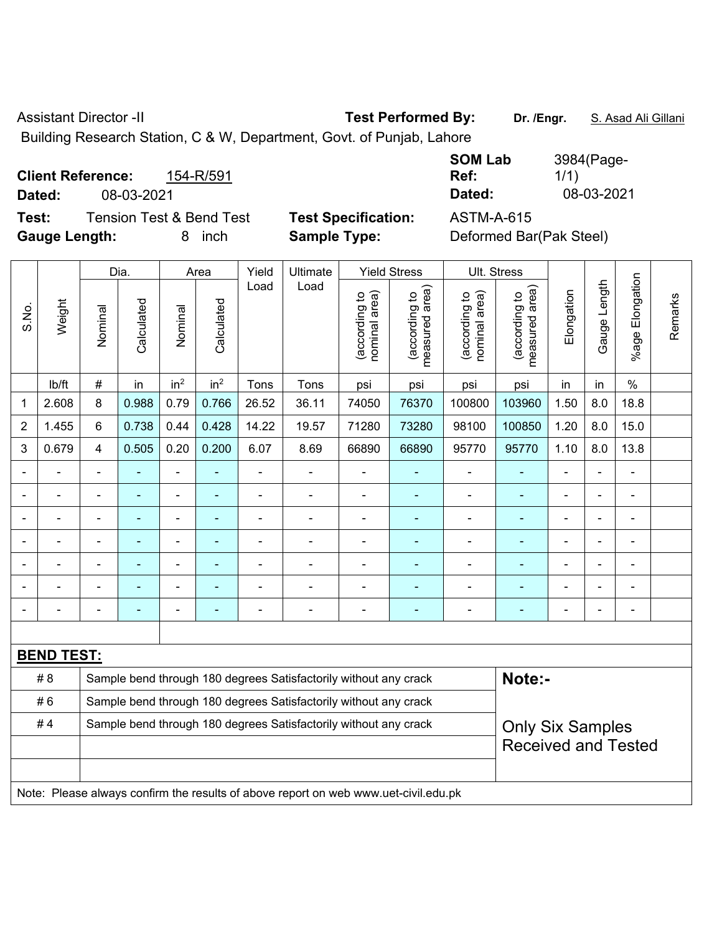Assistant Director -II **Test Performed By:** Dr. /Engr. **S. Asad Ali Gillani** 

Building Research Station, C & W, Department, Govt. of Punjab, Lahore

|        | 154-R/591<br><b>Client Reference:</b> |                            |
|--------|---------------------------------------|----------------------------|
| Dated: | 08-03-2021                            |                            |
| Test:  | <b>Tension Test &amp; Bend Test</b>   | <b>Test Specification:</b> |

**SOM Lab Ref:**  3984(Page-1/1) **Dated:** 08-03-2021 **Dated:** 08-03-2021

**Gauge Length:** 8 inch **Sample Type:** Deformed Bar(Pak Steel)

**Test:** Tension Test & Bend Test **Test Specification:** ASTM-A-615

|                |                   |                                                                                             | Dia.                                                          |                 | Area            | Yield          | Ultimate                                                                            |                                | <b>Yield Stress</b>                         |                                | Ult. Stress                     |            |                |                              |         |
|----------------|-------------------|---------------------------------------------------------------------------------------------|---------------------------------------------------------------|-----------------|-----------------|----------------|-------------------------------------------------------------------------------------|--------------------------------|---------------------------------------------|--------------------------------|---------------------------------|------------|----------------|------------------------------|---------|
| S.No.          | Weight            | Nominal                                                                                     | Calculated                                                    | Nominal         | Calculated      | Load           | Load                                                                                | nominal area)<br>(according to | (according to<br>measured area)<br>measured | (according to<br>nominal area) | (according to<br>measured area) | Elongation | Gauge Length   | Elongation<br>$%$ age        | Remarks |
|                | lb/ft             | $\#$                                                                                        | in                                                            | in <sup>2</sup> | in <sup>2</sup> | Tons           | Tons                                                                                | psi                            | psi                                         | psi                            | psi                             | in         | in             | $\%$                         |         |
| 1              | 2.608             | 8                                                                                           | 0.988                                                         | 0.79            | 0.766           | 26.52          | 36.11                                                                               | 74050                          | 76370                                       | 100800                         | 103960                          | 1.50       | 8.0            | 18.8                         |         |
| 2              | 1.455             | 6                                                                                           | 0.738                                                         | 0.44            | 0.428           | 14.22          | 19.57                                                                               | 71280                          | 73280                                       | 98100                          | 100850                          | 1.20       | 8.0            | 15.0                         |         |
| 3              | 0.679             | 4                                                                                           | 0.505                                                         | 0.20            | 0.200           | 6.07           | 8.69                                                                                | 66890                          | 66890                                       | 95770                          | 95770                           | 1.10       | 8.0            | 13.8                         |         |
|                | $\blacksquare$    | $\blacksquare$                                                                              | ÷                                                             | $\blacksquare$  |                 | $\blacksquare$ | $\blacksquare$                                                                      | $\blacksquare$                 | $\blacksquare$                              | $\blacksquare$                 | $\blacksquare$                  | ä,         | ÷,             | $\qquad \qquad \blacksquare$ |         |
|                | $\blacksquare$    | $\blacksquare$                                                                              | $\blacksquare$                                                | $\blacksquare$  |                 | $\blacksquare$ | $\blacksquare$                                                                      | $\blacksquare$                 | $\blacksquare$                              | $\overline{\phantom{a}}$       | $\blacksquare$                  | ä,         | $\blacksquare$ | $\blacksquare$               |         |
|                | $\blacksquare$    | $\blacksquare$                                                                              | ä,<br>÷<br>$\blacksquare$<br>$\blacksquare$<br>$\blacksquare$ |                 |                 |                |                                                                                     |                                |                                             | ä,                             | $\blacksquare$                  | ÷          | $\blacksquare$ | $\blacksquare$               |         |
|                |                   |                                                                                             |                                                               |                 |                 |                | $\overline{a}$                                                                      |                                | ٠                                           | L,                             | ä,                              |            |                | $\blacksquare$               |         |
|                |                   |                                                                                             |                                                               |                 |                 |                |                                                                                     |                                |                                             |                                |                                 |            |                | $\overline{\phantom{0}}$     |         |
|                |                   |                                                                                             |                                                               |                 |                 |                | $\overline{\phantom{0}}$                                                            | $\blacksquare$                 |                                             | ٠                              | ÷                               |            |                | $\blacksquare$               |         |
| $\blacksquare$ |                   | $\blacksquare$                                                                              |                                                               | ÷               |                 |                | $\blacksquare$                                                                      | $\blacksquare$                 | $\blacksquare$                              | L,                             | ÷                               |            |                | $\overline{\phantom{a}}$     |         |
|                |                   |                                                                                             |                                                               |                 |                 |                |                                                                                     |                                |                                             |                                |                                 |            |                |                              |         |
|                | <b>BEND TEST:</b> |                                                                                             |                                                               |                 |                 |                |                                                                                     |                                |                                             |                                |                                 |            |                |                              |         |
|                | # 8               |                                                                                             |                                                               |                 |                 |                | Sample bend through 180 degrees Satisfactorily without any crack                    |                                |                                             |                                | Note:-                          |            |                |                              |         |
|                | #6                | Sample bend through 180 degrees Satisfactorily without any crack                            |                                                               |                 |                 |                |                                                                                     |                                |                                             |                                |                                 |            |                |                              |         |
|                | #4                | Sample bend through 180 degrees Satisfactorily without any crack<br><b>Only Six Samples</b> |                                                               |                 |                 |                |                                                                                     |                                |                                             |                                |                                 |            |                |                              |         |
|                |                   |                                                                                             |                                                               |                 |                 |                |                                                                                     |                                |                                             |                                | <b>Received and Tested</b>      |            |                |                              |         |
|                |                   |                                                                                             |                                                               |                 |                 |                |                                                                                     |                                |                                             |                                |                                 |            |                |                              |         |
|                |                   |                                                                                             |                                                               |                 |                 |                | Note: Please always confirm the results of above report on web www.uet-civil.edu.pk |                                |                                             |                                |                                 |            |                |                              |         |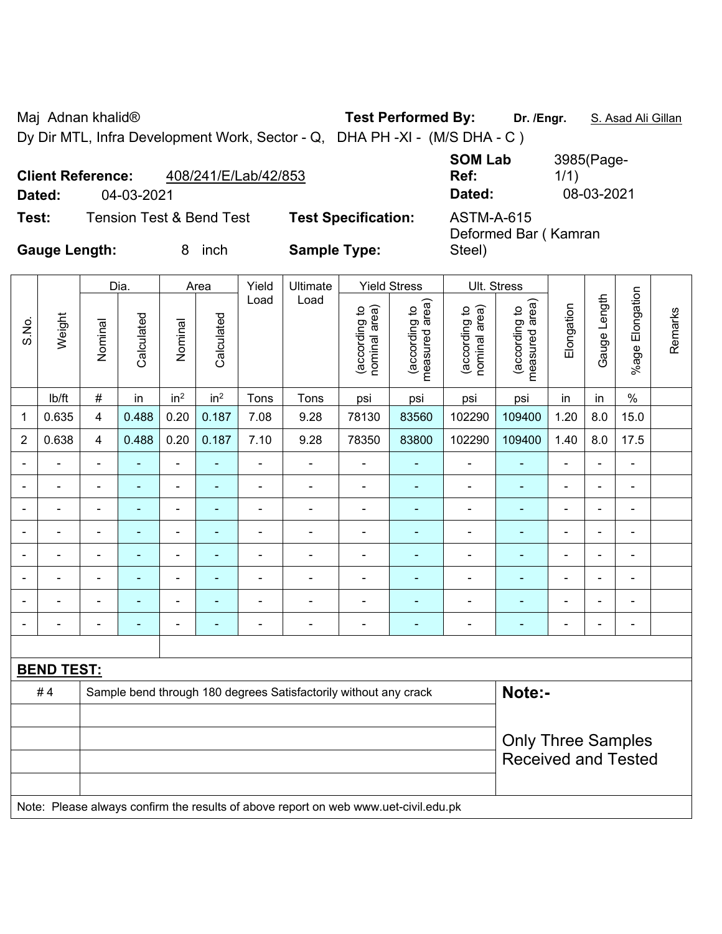Maj Adnan khalid® **Test Performed By: Dr. /Engr.** S. Asad Ali Gillan

Dy Dir MTL, Infra Development Work, Sector - Q, DHA PH -XI - (M/S DHA - C )

**SOM Lab Ref:**  3985(Page-1/1) **Dated:** 04-03-2021 **Dated:** 08-03-2021

Deformed Bar ( Kamran

Steel)

**Test:** Tension Test & Bend Test **Test Specification:** ASTM-A-615

**Client Reference:** 408/241/E/Lab/42/853

**Gauge Length:** 8 inch **Sample Type:** 

|                |                   |                | Dia.           |                          | Area            | Yield          | Ultimate                                                         |                                | <b>Yield Stress</b>             |                                | Ult. Stress                                             |                |                |                 |         |
|----------------|-------------------|----------------|----------------|--------------------------|-----------------|----------------|------------------------------------------------------------------|--------------------------------|---------------------------------|--------------------------------|---------------------------------------------------------|----------------|----------------|-----------------|---------|
| S.No.          | Weight            | Nominal        | Calculated     | Nominal                  | Calculated      | Load           | Load                                                             | nominal area)<br>(according to | measured area)<br>(according to | nominal area)<br>(according to | measured area)<br>(according to                         | Elongation     | Gauge Length   | %age Elongation | Remarks |
|                | lb/ft             | $\#$           | in             | in <sup>2</sup>          | in <sup>2</sup> | Tons           | Tons                                                             | psi                            | psi                             | psi                            | psi                                                     | in             | in             | $\%$            |         |
| 1              | 0.635             | 4              | 0.488          | 0.20                     | 0.187           | 7.08           | 9.28                                                             | 78130                          | 83560                           | 102290                         | 109400                                                  | 1.20           | 8.0            | 15.0            |         |
| $\overline{2}$ | 0.638             | $\overline{4}$ | 0.488          | 0.20                     | 0.187           | 7.10           | 9.28                                                             | 78350                          | 83800                           | 102290                         | 109400                                                  | 1.40           | 8.0            | 17.5            |         |
|                |                   | $\blacksquare$ |                | $\overline{\phantom{0}}$ |                 |                |                                                                  |                                |                                 |                                |                                                         |                | $\blacksquare$ | $\blacksquare$  |         |
|                |                   | $\blacksquare$ | $\blacksquare$ | ÷                        |                 | $\blacksquare$ |                                                                  |                                | $\blacksquare$                  | ۰                              |                                                         |                | $\blacksquare$ | $\blacksquare$  |         |
|                |                   | ÷              |                | ۰                        |                 |                |                                                                  | $\overline{\phantom{0}}$       | $\blacksquare$                  | $\blacksquare$                 |                                                         |                | ä,             | $\blacksquare$  |         |
|                |                   | $\blacksquare$ | $\blacksquare$ | $\blacksquare$           | ٠               | $\blacksquare$ |                                                                  | $\overline{\phantom{0}}$       | $\blacksquare$                  | $\blacksquare$                 |                                                         | $\blacksquare$ | $\blacksquare$ | $\blacksquare$  |         |
|                |                   | -              |                | $\blacksquare$           |                 |                |                                                                  |                                |                                 |                                |                                                         |                | ä,             | $\blacksquare$  |         |
|                |                   | $\blacksquare$ |                | $\overline{\phantom{0}}$ |                 |                |                                                                  |                                | ٠                               | $\blacksquare$                 |                                                         |                | ä,             | $\blacksquare$  |         |
|                |                   |                |                | ۰                        |                 |                |                                                                  |                                | -                               |                                |                                                         |                | ä,             | $\blacksquare$  |         |
|                |                   | $\blacksquare$ | $\blacksquare$ | $\blacksquare$           | ٠               | $\blacksquare$ | $\blacksquare$                                                   | $\overline{\phantom{0}}$       | $\blacksquare$                  | -                              | ۳                                                       | $\blacksquare$ | -              | $\blacksquare$  |         |
|                |                   |                |                |                          |                 |                |                                                                  |                                |                                 |                                |                                                         |                |                |                 |         |
|                | <b>BEND TEST:</b> |                |                |                          |                 |                |                                                                  |                                |                                 |                                |                                                         |                |                |                 |         |
|                | #4                |                |                |                          |                 |                | Sample bend through 180 degrees Satisfactorily without any crack |                                |                                 |                                | Note:-                                                  |                |                |                 |         |
|                |                   |                |                |                          |                 |                |                                                                  |                                |                                 |                                |                                                         |                |                |                 |         |
|                |                   |                |                |                          |                 |                |                                                                  |                                |                                 |                                | <b>Only Three Samples</b><br><b>Received and Tested</b> |                |                |                 |         |

Note: Please always confirm the results of above report on web www.uet-civil.edu.pk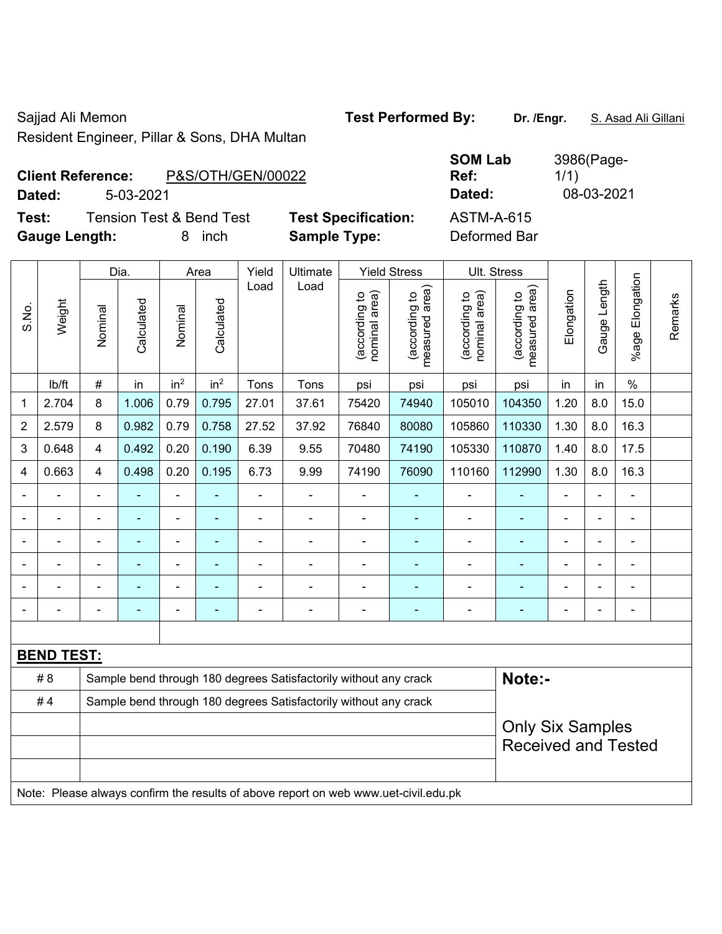Resident Engineer, Pillar & Sons, DHA Multan

Sajjad Ali Memon **Test Performed By:** Dr. /Engr. **S. Asad Ali Gillani** Sajjad Ali Gillani

| <b>Client Reference:</b> |           | P&S/OTH/GEN/00022 |  | Ref:     | 1/1 |            |
|--------------------------|-----------|-------------------|--|----------|-----|------------|
| Dated:                   | 5-03-2021 |                   |  | Dated:   |     | 08-03-2021 |
| - -                      |           |                   |  | $\cdots$ |     |            |

**Test:** Tension Test & Bend Test **Test Specification: Gauge Length:** 8 inch **Sample Type:** Deformed Bar

| <b>SOM Lab</b><br>Ref: | 3986(Page-<br>1/1) |
|------------------------|--------------------|
| Dated:                 | 08-03-202          |
| ASTM-A-615             |                    |

|       |                   |                         | Dia.                                                                                |                 | Area            | Yield | Ultimate                                                         |                                | <b>Yield Stress</b>             |                                | Ult. Stress                        |                |                |                      |         |
|-------|-------------------|-------------------------|-------------------------------------------------------------------------------------|-----------------|-----------------|-------|------------------------------------------------------------------|--------------------------------|---------------------------------|--------------------------------|------------------------------------|----------------|----------------|----------------------|---------|
| S.No. | Weight            | Nominal                 | Calculated                                                                          | Nominal         | Calculated      | Load  | Load                                                             | nominal area)<br>(according to | measured area)<br>(according to | nominal area)<br>(according to | area)<br>(according to<br>measured | Elongation     | Gauge Length   | Elongation<br>%age I | Remarks |
|       | lb/ft             | $\#$                    | in                                                                                  | in <sup>2</sup> | in <sup>2</sup> | Tons  | Tons                                                             | psi                            | psi                             | psi                            | psi                                | in             | in             | $\%$                 |         |
| 1     | 2.704             | 8                       | 1.006                                                                               | 0.79            | 0.795           | 27.01 | 37.61                                                            | 75420                          | 74940                           | 105010                         | 104350                             | 1.20           | 8.0            | 15.0                 |         |
| 2     | 2.579             | 8                       | 0.982                                                                               | 0.79            | 0.758           | 27.52 | 37.92                                                            | 76840                          | 80080                           | 105860                         | 110330                             | 1.30           | 8.0            | 16.3                 |         |
| 3     | 0.648             | $\overline{4}$          | 0.492                                                                               | 0.20            | 0.190           | 6.39  | 9.55                                                             | 70480                          | 74190                           | 105330                         | 110870                             | 1.40           | 8.0            | 17.5                 |         |
| 4     | 0.663             | 4                       | 0.498                                                                               | 0.20            | 0.195           | 6.73  | 9.99                                                             | 74190                          | 76090                           | 110160                         | 112990                             | 1.30           | 8.0            | 16.3                 |         |
|       | ä,                | ä,                      | $\blacksquare$                                                                      | ä,              |                 | ä,    | ä,                                                               | ÷,                             | ä,                              | ä,                             | $\blacksquare$                     | ä,             | ä,             | ÷,                   |         |
|       |                   | $\blacksquare$          | $\blacksquare$                                                                      | $\blacksquare$  | ٠               |       | ÷.                                                               | ÷                              | $\blacksquare$                  | ä,                             | $\blacksquare$                     | $\blacksquare$ |                | $\blacksquare$       |         |
|       |                   | $\blacksquare$          | L,                                                                                  | $\blacksquare$  |                 | ä,    | ÷.                                                               | ä,                             | ۰                               | ÷,                             | ä,                                 | $\blacksquare$ | -              | $\blacksquare$       |         |
|       |                   |                         |                                                                                     |                 |                 |       |                                                                  |                                |                                 |                                |                                    |                |                |                      |         |
|       |                   |                         |                                                                                     |                 |                 |       |                                                                  |                                |                                 |                                |                                    |                |                |                      |         |
|       |                   | $\blacksquare$          | $\blacksquare$                                                                      | $\blacksquare$  | ۰               |       | $\blacksquare$                                                   | $\overline{\phantom{0}}$       | ۰                               | $\blacksquare$                 | ٠                                  | $\blacksquare$ | $\blacksquare$ | $\blacksquare$       |         |
|       |                   |                         |                                                                                     |                 |                 |       |                                                                  |                                |                                 |                                |                                    |                |                |                      |         |
|       | <b>BEND TEST:</b> |                         |                                                                                     |                 |                 |       |                                                                  |                                |                                 |                                |                                    |                |                |                      |         |
|       | # 8               |                         |                                                                                     |                 |                 |       | Sample bend through 180 degrees Satisfactorily without any crack |                                |                                 |                                | Note:-                             |                |                |                      |         |
|       | #4                |                         | Sample bend through 180 degrees Satisfactorily without any crack                    |                 |                 |       |                                                                  |                                |                                 |                                |                                    |                |                |                      |         |
|       |                   | <b>Only Six Samples</b> |                                                                                     |                 |                 |       |                                                                  |                                |                                 |                                |                                    |                |                |                      |         |
|       |                   |                         |                                                                                     |                 |                 |       |                                                                  | <b>Received and Tested</b>     |                                 |                                |                                    |                |                |                      |         |
|       |                   |                         |                                                                                     |                 |                 |       |                                                                  |                                |                                 |                                |                                    |                |                |                      |         |
|       |                   |                         | Note: Please always confirm the results of above report on web www.uet-civil.edu.pk |                 |                 |       |                                                                  |                                |                                 |                                |                                    |                |                |                      |         |